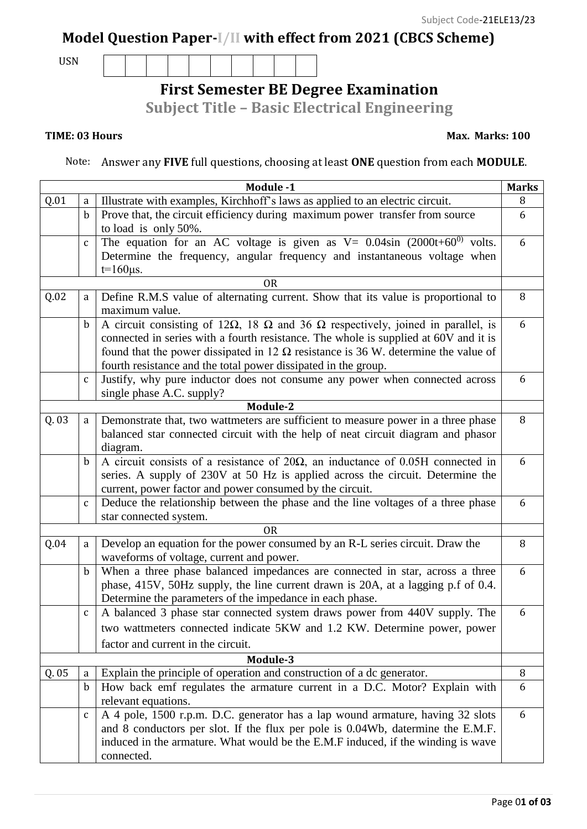## **Model Question Paper-I/II with effect from 2021 (CBCS Scheme)**

USN

# **First Semester BE Degree Examination**

**Subject Title – Basic Electrical Engineering**

### **TIME: 03 Hours Max. Marks: 100**

Note: Answer any **FIVE** full questions, choosing at least **ONE** question from each **MODULE**.

|          |              | Module -1                                                                                              | <b>Marks</b> |  |  |  |  |
|----------|--------------|--------------------------------------------------------------------------------------------------------|--------------|--|--|--|--|
| Q.01     | a            | Illustrate with examples, Kirchhoff's laws as applied to an electric circuit.                          | 8            |  |  |  |  |
|          | $\mathbf b$  | Prove that, the circuit efficiency during maximum power transfer from source                           | 6            |  |  |  |  |
|          |              | to load is only 50%.                                                                                   |              |  |  |  |  |
|          | $\mathsf{C}$ | The equation for an AC voltage is given as $V = 0.04 \sin (2000t + 60^{0})$ volts.                     | 6            |  |  |  |  |
|          |              | Determine the frequency, angular frequency and instantaneous voltage when                              |              |  |  |  |  |
|          |              | $t=160\mu s$ .                                                                                         |              |  |  |  |  |
|          |              | <b>OR</b>                                                                                              |              |  |  |  |  |
| Q.02     | a            | Define R.M.S value of alternating current. Show that its value is proportional to                      | 8            |  |  |  |  |
|          |              | maximum value.                                                                                         | 6            |  |  |  |  |
|          | $\mathbf b$  | A circuit consisting of 12 $\Omega$ , 18 $\Omega$ and 36 $\Omega$ respectively, joined in parallel, is |              |  |  |  |  |
|          |              | connected in series with a fourth resistance. The whole is supplied at 60V and it is                   |              |  |  |  |  |
|          |              | found that the power dissipated in 12 $\Omega$ resistance is 36 W. determine the value of              |              |  |  |  |  |
|          |              | fourth resistance and the total power dissipated in the group.                                         |              |  |  |  |  |
|          | $\mathsf C$  | Justify, why pure inductor does not consume any power when connected across                            | 6            |  |  |  |  |
|          |              | single phase A.C. supply?                                                                              |              |  |  |  |  |
|          |              | Module-2                                                                                               |              |  |  |  |  |
| Q.03     | a            | Demonstrate that, two wattmeters are sufficient to measure power in a three phase                      | 8            |  |  |  |  |
|          |              | balanced star connected circuit with the help of neat circuit diagram and phasor                       |              |  |  |  |  |
|          |              | diagram.                                                                                               | 6            |  |  |  |  |
|          | b            | A circuit consists of a resistance of $20\Omega$ , an inductance of 0.05H connected in                 |              |  |  |  |  |
|          |              | series. A supply of 230V at 50 Hz is applied across the circuit. Determine the                         |              |  |  |  |  |
|          |              | current, power factor and power consumed by the circuit.                                               |              |  |  |  |  |
|          | $\mathsf C$  | Deduce the relationship between the phase and the line voltages of a three phase                       |              |  |  |  |  |
|          |              | star connected system.                                                                                 |              |  |  |  |  |
|          |              | 0 <sub>R</sub>                                                                                         |              |  |  |  |  |
| Q.04     | a            | Develop an equation for the power consumed by an R-L series circuit. Draw the                          | 8            |  |  |  |  |
|          |              | waveforms of voltage, current and power.                                                               | 6            |  |  |  |  |
|          | $\mathbf b$  | When a three phase balanced impedances are connected in star, across a three                           |              |  |  |  |  |
|          |              | phase, 415V, 50Hz supply, the line current drawn is 20A, at a lagging p.f of 0.4.                      |              |  |  |  |  |
|          |              | Determine the parameters of the impedance in each phase.                                               |              |  |  |  |  |
|          | $\mathsf C$  | A balanced 3 phase star connected system draws power from 440V supply. The                             | 6            |  |  |  |  |
|          |              | two wattmeters connected indicate 5KW and 1.2 KW. Determine power, power                               |              |  |  |  |  |
|          |              | factor and current in the circuit.                                                                     |              |  |  |  |  |
| Module-3 |              |                                                                                                        |              |  |  |  |  |
| Q.05     | a            | Explain the principle of operation and construction of a dc generator.                                 | 8            |  |  |  |  |
|          | $\mathbf b$  | How back emf regulates the armature current in a D.C. Motor? Explain with                              | 6            |  |  |  |  |
|          |              | relevant equations.                                                                                    |              |  |  |  |  |
|          | C            | A 4 pole, 1500 r.p.m. D.C. generator has a lap wound armature, having 32 slots                         | 6            |  |  |  |  |
|          |              | and 8 conductors per slot. If the flux per pole is 0.04Wb, datermine the E.M.F.                        |              |  |  |  |  |
|          |              | induced in the armature. What would be the E.M.F induced, if the winding is wave                       |              |  |  |  |  |
|          |              | connected.                                                                                             |              |  |  |  |  |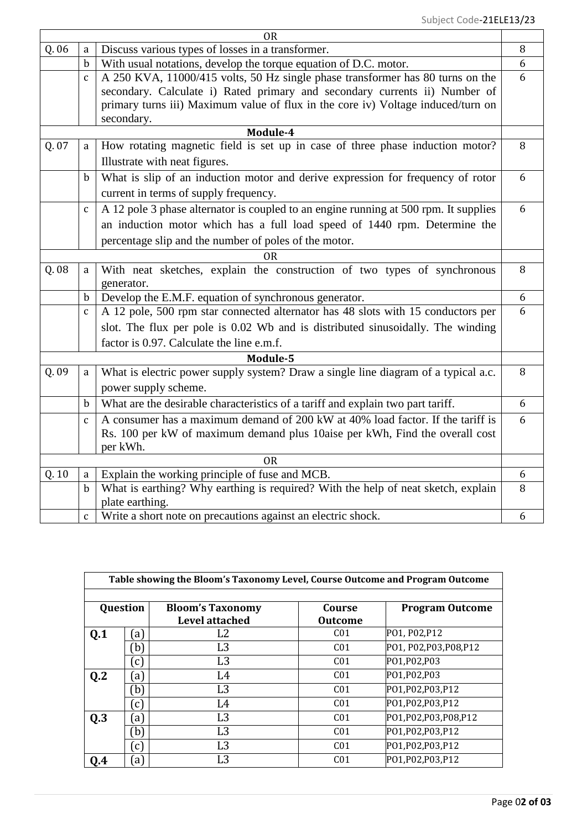| 0R            |                                                                                                      |                                                                                    |   |  |  |  |  |
|---------------|------------------------------------------------------------------------------------------------------|------------------------------------------------------------------------------------|---|--|--|--|--|
| Q. 06         | a                                                                                                    | Discuss various types of losses in a transformer.                                  |   |  |  |  |  |
|               | $\mathbf b$                                                                                          | With usual notations, develop the torque equation of D.C. motor.                   |   |  |  |  |  |
|               | $\mathbf{C}$                                                                                         | A 250 KVA, 11000/415 volts, 50 Hz single phase transformer has 80 turns on the     |   |  |  |  |  |
|               |                                                                                                      | secondary. Calculate i) Rated primary and secondary currents ii) Number of         |   |  |  |  |  |
|               |                                                                                                      | primary turns iii) Maximum value of flux in the core iv) Voltage induced/turn on   |   |  |  |  |  |
|               | secondary.                                                                                           |                                                                                    |   |  |  |  |  |
| Module-4<br>8 |                                                                                                      |                                                                                    |   |  |  |  |  |
| Q.07          | How rotating magnetic field is set up in case of three phase induction motor?<br>a                   |                                                                                    |   |  |  |  |  |
|               | Illustrate with neat figures.                                                                        |                                                                                    |   |  |  |  |  |
|               | What is slip of an induction motor and derive expression for frequency of rotor<br>$\mathbf b$       |                                                                                    |   |  |  |  |  |
|               | current in terms of supply frequency.                                                                |                                                                                    |   |  |  |  |  |
|               | A 12 pole 3 phase alternator is coupled to an engine running at 500 rpm. It supplies<br>$\mathbf{C}$ |                                                                                    |   |  |  |  |  |
|               |                                                                                                      | an induction motor which has a full load speed of 1440 rpm. Determine the          |   |  |  |  |  |
|               | percentage slip and the number of poles of the motor.                                                |                                                                                    |   |  |  |  |  |
| <b>OR</b>     |                                                                                                      |                                                                                    |   |  |  |  |  |
| Q. 08         | a                                                                                                    | With neat sketches, explain the construction of two types of synchronous           | 8 |  |  |  |  |
|               |                                                                                                      | generator.                                                                         |   |  |  |  |  |
|               | $\mathbf b$                                                                                          | Develop the E.M.F. equation of synchronous generator.                              |   |  |  |  |  |
|               | $\mathsf{C}$                                                                                         | A 12 pole, 500 rpm star connected alternator has 48 slots with 15 conductors per   |   |  |  |  |  |
|               | slot. The flux per pole is 0.02 Wb and is distributed sinusoidally. The winding                      |                                                                                    |   |  |  |  |  |
|               | factor is 0.97. Calculate the line e.m.f.                                                            |                                                                                    |   |  |  |  |  |
| Module-5      |                                                                                                      |                                                                                    |   |  |  |  |  |
| Q. 09         | a                                                                                                    | What is electric power supply system? Draw a single line diagram of a typical a.c. | 8 |  |  |  |  |
|               |                                                                                                      | power supply scheme.                                                               |   |  |  |  |  |
|               | $\mathbf b$                                                                                          | What are the desirable characteristics of a tariff and explain two part tariff.    | 6 |  |  |  |  |
|               | $\mathbf{C}$                                                                                         | A consumer has a maximum demand of 200 kW at 40% load factor. If the tariff is     | 6 |  |  |  |  |
|               |                                                                                                      | Rs. 100 per kW of maximum demand plus 10aise per kWh, Find the overall cost        |   |  |  |  |  |
|               |                                                                                                      | per kWh.                                                                           |   |  |  |  |  |
| <b>OR</b>     |                                                                                                      |                                                                                    |   |  |  |  |  |
| Q. 10         | a                                                                                                    | Explain the working principle of fuse and MCB.                                     | 6 |  |  |  |  |
|               | $\mathbf b$                                                                                          | What is earthing? Why earthing is required? With the help of neat sketch, explain  | 8 |  |  |  |  |
|               |                                                                                                      | plate earthing.                                                                    |   |  |  |  |  |
|               | $\mathsf{C}$                                                                                         | Write a short note on precautions against an electric shock.                       | 6 |  |  |  |  |

| Table showing the Bloom's Taxonomy Level, Course Outcome and Program Outcome |                     |                         |                 |                         |  |  |  |  |
|------------------------------------------------------------------------------|---------------------|-------------------------|-----------------|-------------------------|--|--|--|--|
|                                                                              |                     |                         |                 |                         |  |  |  |  |
| Question                                                                     |                     | <b>Bloom's Taxonomy</b> | Course          | <b>Program Outcome</b>  |  |  |  |  |
|                                                                              |                     | <b>Level attached</b>   | <b>Outcome</b>  |                         |  |  |  |  |
| Q.1                                                                          | $\left[ a\right]$   | L2                      | C <sub>01</sub> | PO1, P02, P12           |  |  |  |  |
|                                                                              | b)                  | L <sub>3</sub>          | C <sub>01</sub> | PO1, P02, P03, P08, P12 |  |  |  |  |
|                                                                              | $\mathcal{C}$       | L <sub>3</sub>          | C <sub>01</sub> | PO1, P02, P03           |  |  |  |  |
| Q <sub>2</sub>                                                               | [a]                 | L4                      | C <sub>01</sub> | PO1, P02, P03           |  |  |  |  |
|                                                                              | b)                  | L <sub>3</sub>          | C <sub>01</sub> | P01, P02, P03, P12      |  |  |  |  |
|                                                                              | $\left( c\right)$   | L4                      | C <sub>01</sub> | P01, P02, P03, P12      |  |  |  |  |
| Q.3                                                                          | $\lbrack a \rbrack$ | L <sub>3</sub>          | C <sub>01</sub> | P01,P02,P03,P08,P12     |  |  |  |  |
|                                                                              | b)                  | L <sub>3</sub>          | C <sub>01</sub> | P01, P02, P03, P12      |  |  |  |  |
|                                                                              | (c                  | L <sub>3</sub>          | C <sub>01</sub> | P01, P02, P03, P12      |  |  |  |  |
| 0.4                                                                          | $\lbrack a \rbrack$ | L3                      | C <sub>01</sub> | P01, P02, P03, P12      |  |  |  |  |